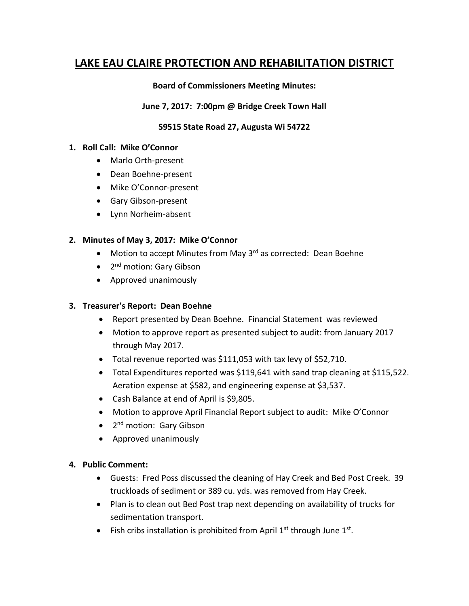# **LAKE EAU CLAIRE PROTECTION AND REHABILITATION DISTRICT**

### **Board of Commissioners Meeting Minutes:**

#### **June 7, 2017: 7:00pm @ Bridge Creek Town Hall**

# **S9515 State Road 27, Augusta Wi 54722**

#### **1. Roll Call: Mike O'Connor**

- Marlo Orth-present
- Dean Boehne-present
- Mike O'Connor-present
- Gary Gibson-present
- Lynn Norheim-absent

# **2. Minutes of May 3, 2017: Mike O'Connor**

- Motion to accept Minutes from May 3<sup>rd</sup> as corrected: Dean Boehne
- 2<sup>nd</sup> motion: Gary Gibson
- Approved unanimously

# **3. Treasurer's Report: Dean Boehne**

- Report presented by Dean Boehne. Financial Statement was reviewed
- Motion to approve report as presented subject to audit: from January 2017 through May 2017.
- Total revenue reported was \$111,053 with tax levy of \$52,710.
- Total Expenditures reported was \$119,641 with sand trap cleaning at \$115,522. Aeration expense at \$582, and engineering expense at \$3,537.
- Cash Balance at end of April is \$9,805.
- Motion to approve April Financial Report subject to audit: Mike O'Connor
- 2<sup>nd</sup> motion: Gary Gibson
- Approved unanimously

# **4. Public Comment:**

- Guests: Fred Poss discussed the cleaning of Hay Creek and Bed Post Creek. 39 truckloads of sediment or 389 cu. yds. was removed from Hay Creek.
- Plan is to clean out Bed Post trap next depending on availability of trucks for sedimentation transport.
- Fish cribs installation is prohibited from April  $1<sup>st</sup>$  through June  $1<sup>st</sup>$ .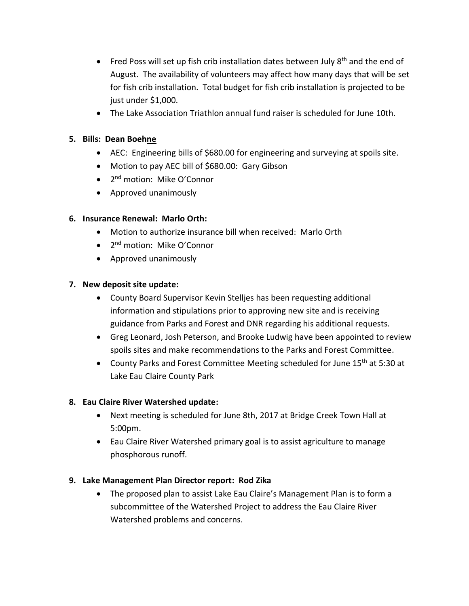- Fred Poss will set up fish crib installation dates between July  $8<sup>th</sup>$  and the end of August. The availability of volunteers may affect how many days that will be set for fish crib installation. Total budget for fish crib installation is projected to be just under \$1,000.
- The Lake Association Triathlon annual fund raiser is scheduled for June 10th.

# **5. Bills: Dean Boehne**

- AEC: Engineering bills of \$680.00 for engineering and surveying at spoils site.
- Motion to pay AEC bill of \$680.00: Gary Gibson
- 2<sup>nd</sup> motion: Mike O'Connor
- Approved unanimously

# **6. Insurance Renewal: Marlo Orth:**

- Motion to authorize insurance bill when received: Marlo Orth
- 2<sup>nd</sup> motion: Mike O'Connor
- Approved unanimously

#### **7. New deposit site update:**

- County Board Supervisor Kevin Stelljes has been requesting additional information and stipulations prior to approving new site and is receiving guidance from Parks and Forest and DNR regarding his additional requests.
- Greg Leonard, Josh Peterson, and Brooke Ludwig have been appointed to review spoils sites and make recommendations to the Parks and Forest Committee.
- County Parks and Forest Committee Meeting scheduled for June 15<sup>th</sup> at 5:30 at Lake Eau Claire County Park

# **8. Eau Claire River Watershed update:**

- Next meeting is scheduled for June 8th, 2017 at Bridge Creek Town Hall at 5:00pm.
- Eau Claire River Watershed primary goal is to assist agriculture to manage phosphorous runoff.

# **9. Lake Management Plan Director report: Rod Zika**

• The proposed plan to assist Lake Eau Claire's Management Plan is to form a subcommittee of the Watershed Project to address the Eau Claire River Watershed problems and concerns.